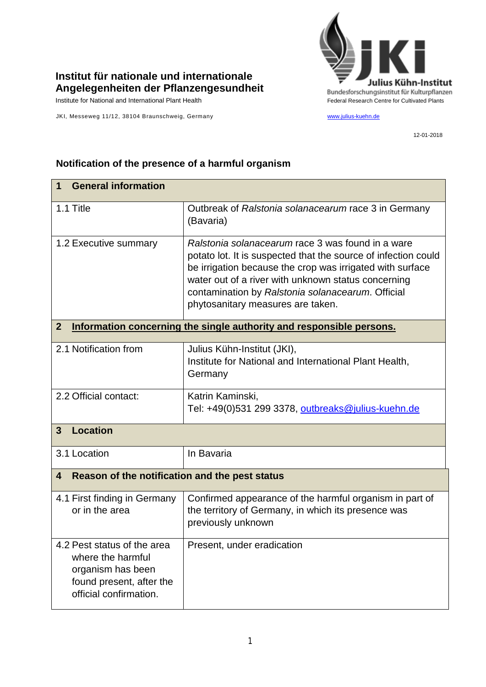

## **Institut für nationale und internationale Angelegenheiten der Pflanzengesundheit**

JKI, Messeweg 11/12, 38104 Braunschweig, Germany [www.julius-kuehn.de](http://www.julius-kuehn.de/)

12-01-2018

| $\mathbf 1$                                                                                                                 | <b>General information</b>                                                                                                                                                                                                                                                                                                        |  |  |
|-----------------------------------------------------------------------------------------------------------------------------|-----------------------------------------------------------------------------------------------------------------------------------------------------------------------------------------------------------------------------------------------------------------------------------------------------------------------------------|--|--|
| 1.1 Title                                                                                                                   | Outbreak of Ralstonia solanacearum race 3 in Germany<br>(Bavaria)                                                                                                                                                                                                                                                                 |  |  |
| 1.2 Executive summary                                                                                                       | Ralstonia solanacearum race 3 was found in a ware<br>potato lot. It is suspected that the source of infection could<br>be irrigation because the crop was irrigated with surface<br>water out of a river with unknown status concerning<br>contamination by Ralstonia solanacearum. Official<br>phytosanitary measures are taken. |  |  |
| Information concerning the single authority and responsible persons.<br>$\mathbf{2}$                                        |                                                                                                                                                                                                                                                                                                                                   |  |  |
| 2.1 Notification from                                                                                                       | Julius Kühn-Institut (JKI),<br>Institute for National and International Plant Health,<br>Germany                                                                                                                                                                                                                                  |  |  |
| 2.2 Official contact:                                                                                                       | Katrin Kaminski,<br>Tel: +49(0)531 299 3378, outbreaks@julius-kuehn.de                                                                                                                                                                                                                                                            |  |  |
| <b>Location</b><br>$\mathbf{3}$                                                                                             |                                                                                                                                                                                                                                                                                                                                   |  |  |
| 3.1 Location                                                                                                                | In Bavaria                                                                                                                                                                                                                                                                                                                        |  |  |
| Reason of the notification and the pest status<br>4                                                                         |                                                                                                                                                                                                                                                                                                                                   |  |  |
| 4.1 First finding in Germany<br>or in the area                                                                              | Confirmed appearance of the harmful organism in part of<br>the territory of Germany, in which its presence was<br>previously unknown                                                                                                                                                                                              |  |  |
| 4.2 Pest status of the area<br>where the harmful<br>organism has been<br>found present, after the<br>official confirmation. | Present, under eradication                                                                                                                                                                                                                                                                                                        |  |  |

## **Notification of the presence of a harmful organism**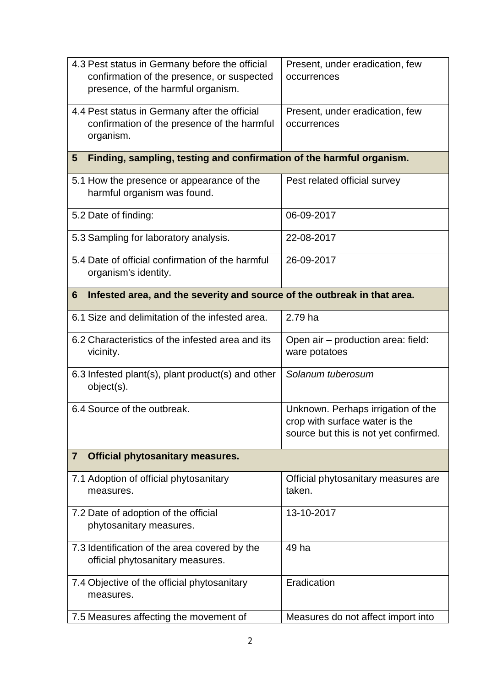| 4.3 Pest status in Germany before the official<br>confirmation of the presence, or suspected<br>presence, of the harmful organism. | Present, under eradication, few<br>occurrences                                                                |  |  |
|------------------------------------------------------------------------------------------------------------------------------------|---------------------------------------------------------------------------------------------------------------|--|--|
| 4.4 Pest status in Germany after the official<br>confirmation of the presence of the harmful<br>organism.                          | Present, under eradication, few<br>occurrences                                                                |  |  |
| Finding, sampling, testing and confirmation of the harmful organism.<br>$5\phantom{.0}$                                            |                                                                                                               |  |  |
| 5.1 How the presence or appearance of the<br>harmful organism was found.                                                           | Pest related official survey                                                                                  |  |  |
| 5.2 Date of finding:                                                                                                               | 06-09-2017                                                                                                    |  |  |
| 5.3 Sampling for laboratory analysis.                                                                                              | 22-08-2017                                                                                                    |  |  |
| 5.4 Date of official confirmation of the harmful<br>organism's identity.                                                           | 26-09-2017                                                                                                    |  |  |
| Infested area, and the severity and source of the outbreak in that area.<br>6                                                      |                                                                                                               |  |  |
| 6.1 Size and delimitation of the infested area.                                                                                    | 2.79 ha                                                                                                       |  |  |
| 6.2 Characteristics of the infested area and its<br>vicinity.                                                                      | Open air - production area: field:<br>ware potatoes                                                           |  |  |
| 6.3 Infested plant(s), plant product(s) and other<br>object(s).                                                                    | Solanum tuberosum                                                                                             |  |  |
| 6.4 Source of the outbreak.                                                                                                        | Unknown. Perhaps irrigation of the<br>crop with surface water is the<br>source but this is not yet confirmed. |  |  |
| <b>Official phytosanitary measures.</b><br>$\overline{7}$                                                                          |                                                                                                               |  |  |
| 7.1 Adoption of official phytosanitary<br>measures.                                                                                | Official phytosanitary measures are<br>taken.                                                                 |  |  |
| 7.2 Date of adoption of the official<br>phytosanitary measures.                                                                    | 13-10-2017                                                                                                    |  |  |
| 7.3 Identification of the area covered by the<br>official phytosanitary measures.                                                  | 49 ha                                                                                                         |  |  |
| 7.4 Objective of the official phytosanitary<br>measures.                                                                           | Eradication                                                                                                   |  |  |
| 7.5 Measures affecting the movement of                                                                                             | Measures do not affect import into                                                                            |  |  |